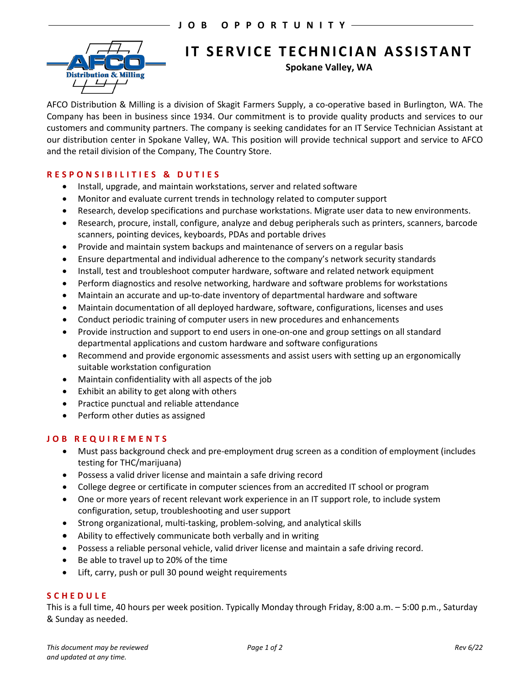

# **IT SERVICE TECHNICIAN ASSISTANT**

**Spokane Valley, WA**

AFCO Distribution & Milling is a division of Skagit Farmers Supply, a co-operative based in Burlington, WA. The Company has been in business since 1934. Our commitment is to provide quality products and services to our customers and community partners. The company is seeking candidates for an IT Service Technician Assistant at our distribution center in Spokane Valley, WA. This position will provide technical support and service to AFCO and the retail division of the Company, The Country Store.

### **RESPONSIBILITIES & DUTIES**

- Install, upgrade, and maintain workstations, server and related software
- Monitor and evaluate current trends in technology related to computer support
- Research, develop specifications and purchase workstations. Migrate user data to new environments.
- Research, procure, install, configure, analyze and debug peripherals such as printers, scanners, barcode scanners, pointing devices, keyboards, PDAs and portable drives
- Provide and maintain system backups and maintenance of servers on a regular basis
- Ensure departmental and individual adherence to the company's network security standards
- Install, test and troubleshoot computer hardware, software and related network equipment
- Perform diagnostics and resolve networking, hardware and software problems for workstations
- Maintain an accurate and up-to-date inventory of departmental hardware and software
- Maintain documentation of all deployed hardware, software, configurations, licenses and uses
- Conduct periodic training of computer users in new procedures and enhancements
- Provide instruction and support to end users in one-on-one and group settings on all standard departmental applications and custom hardware and software configurations
- Recommend and provide ergonomic assessments and assist users with setting up an ergonomically suitable workstation configuration
- Maintain confidentiality with all aspects of the job
- Exhibit an ability to get along with others
- Practice punctual and reliable attendance
- Perform other duties as assigned

#### **JOB REQUIREMENTS**

- Must pass background check and pre-employment drug screen as a condition of employment (includes testing for THC/marijuana)
- Possess a valid driver license and maintain a safe driving record
- College degree or certificate in computer sciences from an accredited IT school or program
- One or more years of recent relevant work experience in an IT support role, to include system configuration, setup, troubleshooting and user support
- Strong organizational, multi-tasking, problem-solving, and analytical skills
- Ability to effectively communicate both verbally and in writing
- Possess a reliable personal vehicle, valid driver license and maintain a safe driving record.
- Be able to travel up to 20% of the time
- Lift, carry, push or pull 30 pound weight requirements

#### **SCHEDULE**

This is a full time, 40 hours per week position. Typically Monday through Friday, 8:00 a.m. – 5:00 p.m., Saturday & Sunday as needed.